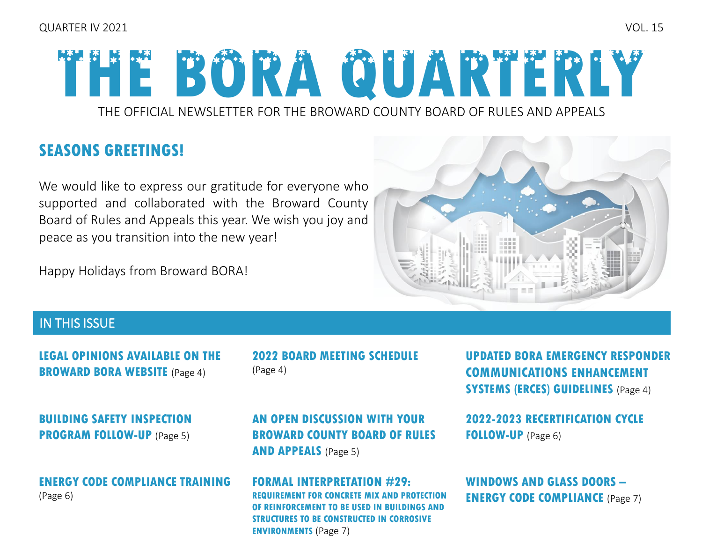# **THE BORA QUARTERLY**

THE OFFICIAL NEWSLETTER FOR THE BROWARD COUNTY BOARD OF RULES AND APPEALS

## **SEASONS GREETINGS!**

We would like to express our gratitude for everyone who supported and collaborated with the Broward County Board of Rules and Appeals this year. We wish you joy and peace as you transition into the new year!

Happy Holidays from Broward BORA!



## IN THIS ISSUE

**[LEGAL OPINIONS AVAILABLE ON THE](#page-3-0)  BROWARD BORA WEBSITE** (Page 4)

**[BUILDING SAFETY INSPECTION](#page-4-0)  PROGRAM FOLLOW-UP** (Page 5)

### **[ENERGY CODE COMPLIANCE TRAINING](#page-5-0)**  (Page 6)

**[2022 BOARD MEETING SCHEDULE](#page-3-0)**  (Page 4)

**AN OPEN DISCUSSION WITH YOUR [BROWARD COUNTY BOARD OF RULES](#page-4-0)  AND APPEALS** (Page 5)

**[FORMAL INTERPRETATION #29:](#page-6-0)  REQUIREMENT FOR CONCRETE MIX AND PROTECTION OF REINFORCEMENT TO BE USED IN BUILDINGS AND STRUCTURES TO BE CONSTRUCTED IN CORROSIVE ENVIRONMENTS** (Page 7)

**[UPDATED BORA EMERGENCY RESPONDER](#page-3-0)  COMMUNICATIONS ENHANCEMENT SYSTEMS (ERCES) GUIDELINES** (Page 4)

**[2022-2023 RECERTIFICATION CYCLE](#page-5-0)  FOLLOW-UP** (Page 6)

**WINDOWS AND GLASS DOORS – ENERGY CODE COMPLIANCE** (Page 7)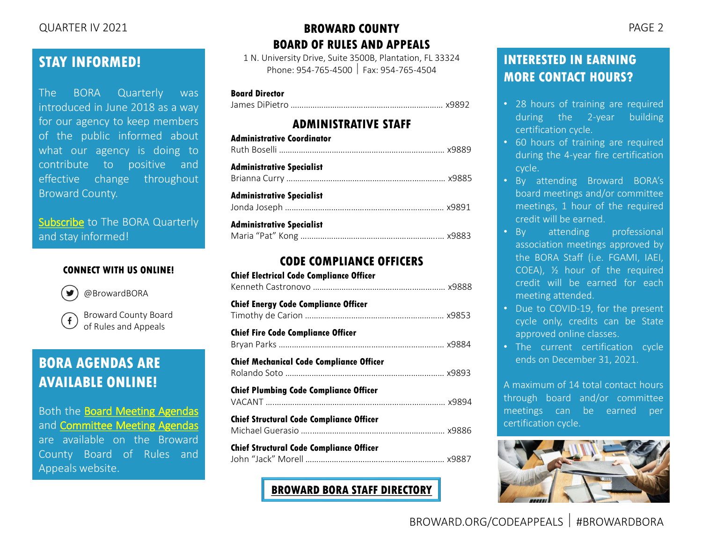## **STAY INFORMED!**

The BORA Quarterly was introduced in June 2018 as a way for our agency to keep members of the public informed about what our agency is doing to contribute to positive and effective change throughout Broward County.

[Subscribe](mailto:rulesboard@broward.org) to The BORA Quarterly and stay informed!

#### **CONNECT WITH US ONLINE!**



@BrowardBORA

Broward County Board  $\mathbf{f}$ of Rules and Appeals

## **BORA AGENDAS ARE AVAILABLE ONLINE!**

Both the Board Meeting [Agendas](https://www.broward.org/CodeAppeals/Pages/BoardMeetingAgendas.aspx) and [Committee](https://www.broward.org/CodeAppeals/Pages/CommitteeMeetingAgendas.aspx) Meeting Agendas are available on the Broward County Board of Rules and Appeals website.

#### QUARTER IV 2021 PAGE 2 **BROWARD COUNTY BOARD OF RULES AND APPEALS**

1 N. University Drive, Suite 3500B, Plantation, FL 33324 Phone: 954-765-4500 Fax: 954-765-4504

#### **Board Director**

James DiPietro …………………………………………………………… x9892

#### **ADMINISTRATIVE STAFF**

| <b>Administrative Coordinator</b> |  |
|-----------------------------------|--|
| Administrative Specialist         |  |
| <b>Administrative Specialist</b>  |  |
| <b>Administrative Specialist</b>  |  |

#### **CODE COMPLIANCE OFFICERS**

| <b>Chief Electrical Code Compliance Officer</b> |  |
|-------------------------------------------------|--|
| <b>Chief Energy Code Compliance Officer</b>     |  |
| <b>Chief Fire Code Compliance Officer</b>       |  |
| <b>Chief Mechanical Code Compliance Officer</b> |  |
| <b>Chief Plumbing Code Compliance Officer</b>   |  |
| <b>Chief Structural Code Compliance Officer</b> |  |
| <b>Chief Structural Code Compliance Officer</b> |  |

**[BROWARD BORA STAFF DIRECTORY](https://www.broward.org/CodeAppeals/Pages/staffContacts.aspx)**

## **INTERESTED IN EARNING MORE CONTACT HOURS?**

- 28 hours of training are required during the 2-year building certification cycle.
- 60 hours of training are required during the 4-year fire certification cycle.
- By attending Broward BORA's board meetings and/or committee meetings, 1 hour of the required credit will be earned.
- By attending professional association meetings approved by the BORA Staff (i.e. FGAMI, IAEI, COEA), ½ hour of the required credit will be earned for each meeting attended.
- Due to COVID-19, for the present cycle only, credits can be State approved online classes.
- The current certification cycle ends on December 31, 2021.

A maximum of 14 total contact hours through board and/or committee meetings can be earned per certification cycle.

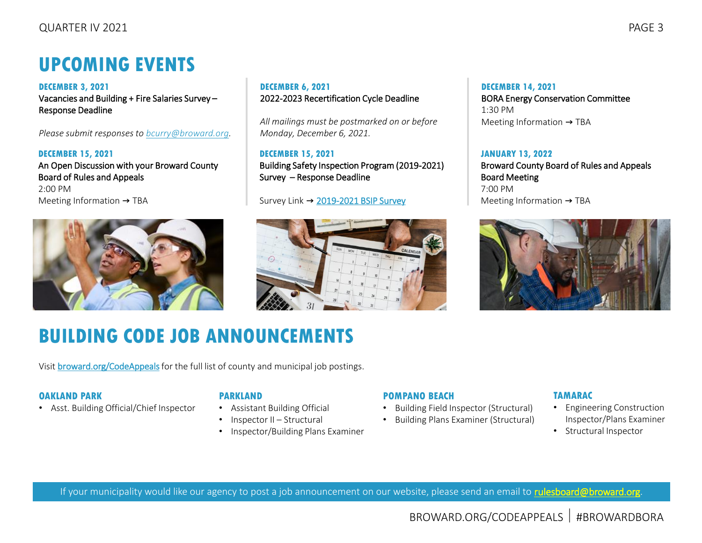## **UPCOMING EVENTS**

**DECEMBER 3, 2021** Vacancies and Building + Fire Salaries Survey – Response Deadline

*Please submit responses to [bcurry@broward.org](mailto:bcurry@broward.org).* 

**DECEMBER 15, 2021** An Open Discussion with your Broward County Board of Rules and Appeals 2:00 PM Meeting Information → TBA



#### **DECEMBER 6, 2021** 2022-2023 Recertification Cycle Deadline

*All mailings must be postmarked on or before Monday, December 6, 2021.* 

**DECEMBER 15, 2021** Building Safety Inspection Program (2019-2021) Survey – Response Deadline

#### Survey Link → [2019-2021 BSIP Survey](https://www.surveymonkey.com/r/62MFG6R)



#### **DECEMBER 14, 2021** BORA Energy Conservation Committee 1:30 PM Meeting Information  $\rightarrow$  TBA

#### **JANUARY 13, 2022**

Broward County Board of Rules and Appeals Board Meeting 7:00 PM Meeting Information → TBA



## **BUILDING CODE JOB ANNOUNCEMENTS**

Visit [broward.org/CodeAppeals](https://www.broward.org/CodeAppeals/Pages/JobAnnouncements.aspx)for the full list of county and municipal job postings.

#### **OAKLAND PARK**

• Asst. Building Official/Chief Inspector

#### **PARKLAND**

- Assistant Building Official
- Inspector II Structural
- Inspector/Building Plans Examiner

#### **POMPANO BEACH**

- Building Field Inspector (Structural)
- Building Plans Examiner (Structural)

#### **TAMARAC**

- Engineering Construction Inspector/Plans Examiner
- Structural Inspector

If your municipality would like our agency to post a job announcement on our website, please send an email to [rulesboard@broward.org](mailto:rulesboard@broward.org).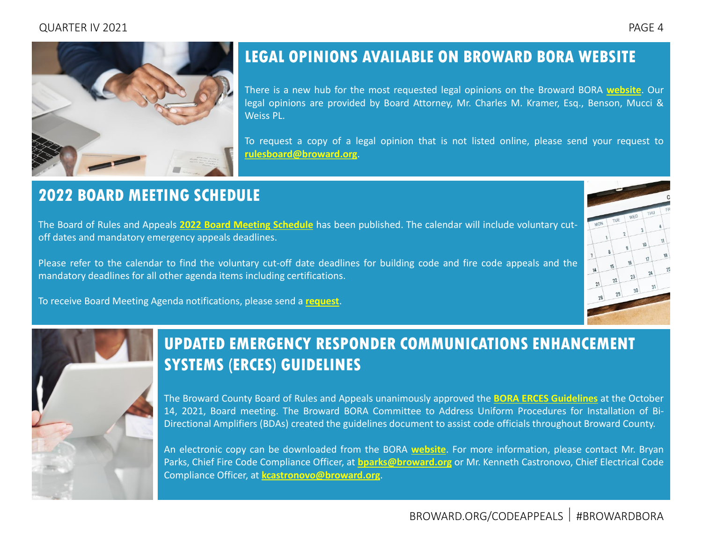<span id="page-3-0"></span>

## **LEGAL OPINIONS AVAILABLE ON BROWARD BORA WEBSITE**

There is a new hub for the most requested legal opinions on the Broward BORA **[website](https://www.broward.org/CodeAppeals/Pages/LegalOpinions.aspx)**. Our legal opinions are provided by Board Attorney, Mr. Charles M. Kramer, Esq., Benson, Mucci & Weiss PL.

To request a copy of a legal opinion that is not listed online, please send your request to **[rulesboard@broward.org](mailto:rulesboard@broward.org)**.

## **2022 BOARD MEETING SCHEDULE**

The Board of Rules and Appeals **2022 Board Meeting [Schedule](https://www.broward.org/CodeAppeals/Pages/calendar.aspx)** has been published. The calendar will include voluntary cutoff dates and mandatory emergency appeals deadlines.

Please refer to the calendar to find the voluntary cut-off date deadlines for building code and fire code appeals and the mandatory deadlines for all other agenda items including certifications.

To receive Board Meeting Agenda notifications, please send a **[request](mailto:rboselli@broward.org)**.



## **UPDATED EMERGENCY RESPONDER COMMUNICATIONS ENHANCEMENT SYSTEMS (ERCES) GUIDELINES**

The Broward County Board of Rules and Appeals unanimously approved the **BORA ERCES [Guidelines](https://www.broward.org/CodeAppeals/Documents/BORA%20ERCES%20Guidelines%20%28Approved%2010-14-2021%29.pdf)** at the October 14, 2021, Board meeting. The Broward BORA Committee to Address Uniform Procedures for Installation of Bi-Directional Amplifiers (BDAs) created the guidelines document to assist code officials throughout Broward County.

An electronic copy can be downloaded from the BORA **[website](https://www.broward.org/CodeAppeals/Pages/VoluntaryForm.aspx)**. For more information, please contact Mr. Bryan Parks, Chief Fire Code Compliance Officer, at **[bparks@broward.org](mailto:bparks@broward.org)** or Mr. Kenneth Castronovo, Chief Electrical Code Compliance Officer, at **[kcastronovo@broward.org](mailto:kcastronovo@broward.org)**.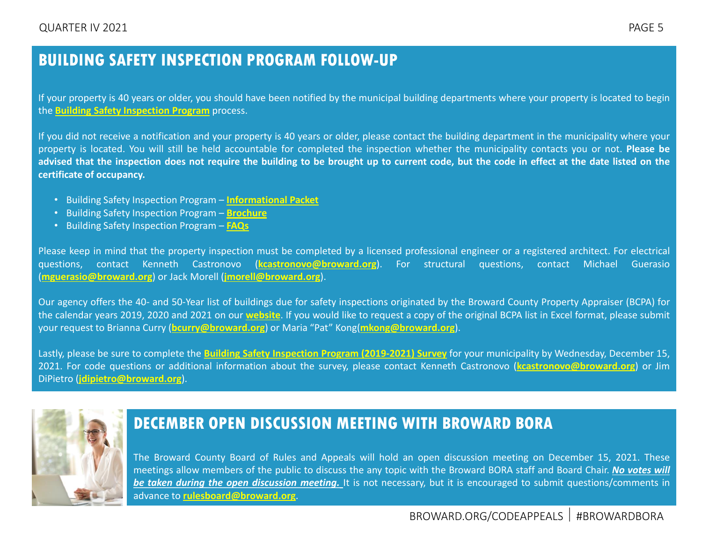## <span id="page-4-0"></span>**BUILDING SAFETY INSPECTION PROGRAM FOLLOW-UP**

If your property is 40 years or older, you should have been notified by the municipal building departments where your property is located to begin the **Building Safety [Inspection](https://www.broward.org/CodeAppeals/Pages/SafetyInspectionProgram.aspx) Program** process.

If you did not receive a notification and your property is 40 years or older, please contact the building department in the municipality where your property is located. You will still be held accountable for completed the inspection whether the municipality contacts you or not. **Please be** advised that the inspection does not require the building to be brought up to current code, but the code in effect at the date listed on the **certificate of occupancy.**

- Building Safety Inspection Program **[Informational](https://www.broward.org/CodeAppeals/Documents/Broward%20County%20Building%20Safety%20Inspection%20Program.pdf) Packet**
- Building Safety Inspection Program **[Brochure](https://www.broward.org/CodeAppeals/Documents/Building%20Safety%20Inspection%20Program%20-%20Brochure.pdf)**
- Building Safety Inspection Program **[FAQs](https://www.broward.org/CodeAppeals/Documents/Building%20Safety%20Inspection%20Program%20-%20FAQs.pdf)**

Please keep in mind that the property inspection must be completed by a licensed professional engineer or a registered architect. For electrical questions, contact Kenneth Castronovo (**[kcastronovo@broward.org](mailto:kcastronovo@broward.org)**). For structural questions, contact Michael Guerasio (**[mguerasio@broward.org](mailto:mguerasio@broward.org)**) or Jack Morell (**[jmorell@broward.org](mailto:jmorell@broward.org)**).

Our agency offers the 40- and 50-Year list of buildings due for safety inspections originated by the Broward County Property Appraiser (BCPA) for the calendar years 2019, 2020 and 2021 on our **[website](https://www.broward.org/CodeAppeals/Pages/SafetyInspectionProgram.aspx)**. If you would like to request a copy of the original BCPA list in Excel format, please submit your request to Brianna Curry (**[bcurry@broward.org](mailto:bcurry@broward.org)**) or Maria "Pat" Kong(**[mkong@broward.org](mailto:mkong@broward.org)**).

Lastly, please be sure to complete the **Building Safety Inspection Program [\(2019-2021\)](https://www.surveymonkey.com/r/62MFG6R) Survey** for your municipality by Wednesday, December 15, 2021. For code questions or additional information about the survey, please contact Kenneth Castronovo (**[kcastronovo@broward.org](mailto:kcastronovo@broward.org)**) or Jim DiPietro (**[jdipietro@broward.org](mailto:jdipietro@broward.org)**).



## **DECEMBER OPEN DISCUSSION MEETING WITH BROWARD BORA**

The Broward County Board of Rules and Appeals will hold an open discussion meeting on December 15, 2021. These meetings allow members of the public to discuss the any topic with the Broward BORA staff and Board Chair. *No votes will be taken during the open discussion meeting.* It is not necessary, but it is encouraged to submit questions/comments in advance to **[rulesboard@broward.org](mailto:rulesboard@broward.org)**.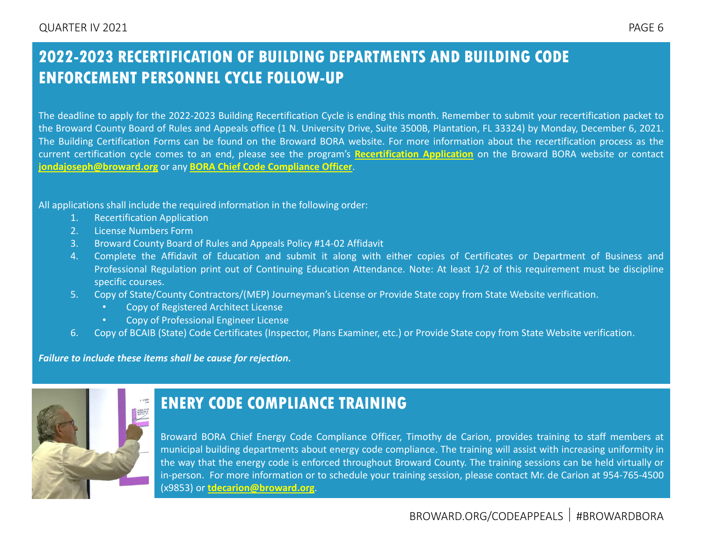## <span id="page-5-0"></span>**2022-2023 RECERTIFICATION OF BUILDING DEPARTMENTS AND BUILDING CODE ENFORCEMENT PERSONNEL CYCLE FOLLOW-UP**

The deadline to apply for the 2022-2023 Building Recertification Cycle is ending this month. Remember to submit your recertification packet to the Broward County Board of Rules and Appeals office (1 N. University Drive, Suite 3500B, Plantation, FL 33324) by Monday, December 6, 2021. The Building Certification Forms can be found on the Broward BORA website. For more information about the recertification process as the current certification cycle comes to an end, please see the program's **[Recertification](https://www.broward.org/CodeAppeals/Documents/2022_23%20Recertification%20Application%20Fillable%20Pro%20updated.pdf) Application** on the Broward BORA website or contact **[jondajoseph@broward.org](mailto:jondajoseph@broward.org)** or any **BORA Chief Code [Compliance](https://www.broward.org/CodeAppeals/Pages/staffContacts.aspx) Officer**.

All applications shall include the required information in the following order:

- 1. Recertification Application
- 2. License Numbers Form
- 3. Broward County Board of Rules and Appeals Policy #14-02 Affidavit
- 4. Complete the Affidavit of Education and submit it along with either copies of Certificates or Department of Business and Professional Regulation print out of Continuing Education Attendance. Note: At least 1/2 of this requirement must be discipline specific courses.
- 5. Copy of State/County Contractors/(MEP) Journeyman's License or Provide State copy from State Website verification.
	- Copy of Registered Architect License
	- Copy of Professional Engineer License
- 6. Copy of BCAIB (State) Code Certificates (Inspector, Plans Examiner, etc.) or Provide State copy from State Website verification.

*Failure to include these items shall be cause for rejection.*



## **ENERY CODE COMPLIANCE TRAINING**

Broward BORA Chief Energy Code Compliance Officer, Timothy de Carion, provides training to staff members at municipal building departments about energy code compliance. The training will assist with increasing uniformity in the way that the energy code is enforced throughout Broward County. The training sessions can be held virtually or in-person. For more information or to schedule your training session, please contact Mr. de Carion at 954-765-4500 (x9853) or **[tdecarion@broward.org](mailto:tdecarion@broward.org)**.

## BROWARD.ORG/CODEAPPEALS #BROWARDBORA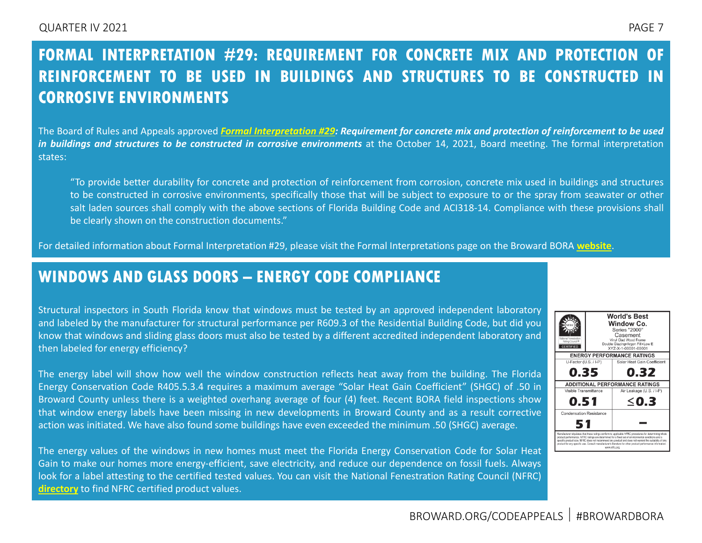## <span id="page-6-0"></span>**FORMAL INTERPRETATION #29: REQUIREMENT FOR CONCRETE MIX AND PROTECTION OF REINFORCEMENT TO BE USED IN BUILDINGS AND STRUCTURES TO BE CONSTRUCTED IN CORROSIVE ENVIRONMENTS**

The Board of Rules and Appeals approved Formal [Interpretation](https://www.broward.org/CodeAppeals/Documents/FI-29.pdf) #29: Requirement for concrete mix and protection of reinforcement to be used *in buildings and structures to be constructed in corrosive environments* at the October 14, 2021, Board meeting. The formal interpretation states:

"To provide better durability for concrete and protection of reinforcement from corrosion, concrete mix used in buildings and structures to be constructed in corrosive environments, specifically those that will be subject to exposure to or the spray from seawater or other salt laden sources shall comply with the above sections of Florida Building Code and ACI318-14. Compliance with these provisions shall be clearly shown on the construction documents."

For detailed information about Formal Interpretation #29, please visit the Formal Interpretations page on the Broward BORA **[website](https://www.broward.org/CodeAppeals/Pages/FormalInterpretations.aspx)**.

## **WINDOWS AND GLASS DOORS – ENERGY CODE COMPLIANCE**

Structural inspectors in South Florida know that windows must be tested by an approved independent laboratory and labeled by the manufacturer for structural performance per R609.3 of the Residential Building Code, but did you know that windows and sliding glass doors must also be tested by a different accredited independent laboratory and then labeled for energy efficiency?

The energy label will show how well the window construction reflects heat away from the building. The Florida Energy Conservation Code R405.5.3.4 requires a maximum average "Solar Heat Gain Coefficient" (SHGC) of .50 in Broward County unless there is a weighted overhang average of four (4) feet. Recent BORA field inspections show that window energy labels have been missing in new developments in Broward County and as a result corrective action was initiated. We have also found some buildings have even exceeded the minimum .50 (SHGC) average.

The energy values of the windows in new homes must meet the Florida Energy Conservation Code for Solar Heat Gain to make our homes more energy-efficient, save electricity, and reduce our dependence on fossil fuels. Always look for a label attesting to the certified tested values. You can visit the National Fenestration Rating Council (NFRC) **[directory](https://www.nfrc.org/certified-product-directory/)** to find NFRC certified product values.